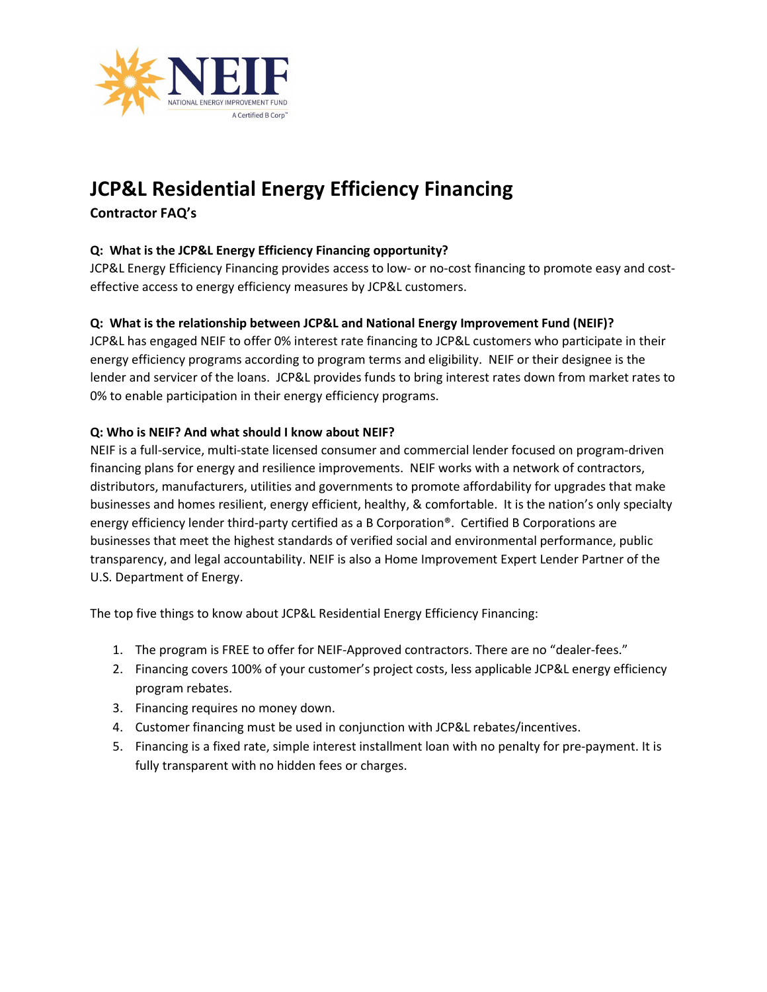

# JCP&L Residential Energy Efficiency Financing

## Contractor FAQ's

## Q: What is the JCP&L Energy Efficiency Financing opportunity?

JCP&L Energy Efficiency Financing provides access to low- or no-cost financing to promote easy and costeffective access to energy efficiency measures by JCP&L customers.

## Q: What is the relationship between JCP&L and National Energy Improvement Fund (NEIF)?

JCP&L has engaged NEIF to offer 0% interest rate financing to JCP&L customers who participate in their energy efficiency programs according to program terms and eligibility. NEIF or their designee is the lender and servicer of the loans. JCP&L provides funds to bring interest rates down from market rates to 0% to enable participation in their energy efficiency programs.

## Q: Who is NEIF? And what should I know about NEIF?

NEIF is a full-service, multi-state licensed consumer and commercial lender focused on program-driven financing plans for energy and resilience improvements. NEIF works with a network of contractors, distributors, manufacturers, utilities and governments to promote affordability for upgrades that make businesses and homes resilient, energy efficient, healthy, & comfortable. It is the nation's only specialty energy efficiency lender third-party certified as a B Corporation®. Certified B Corporations are businesses that meet the highest standards of verified social and environmental performance, public transparency, and legal accountability. NEIF is also a Home Improvement Expert Lender Partner of the U.S. Department of Energy.

The top five things to know about JCP&L Residential Energy Efficiency Financing:

- 1. The program is FREE to offer for NEIF-Approved contractors. There are no "dealer-fees."
- 2. Financing covers 100% of your customer's project costs, less applicable JCP&L energy efficiency program rebates.
- 3. Financing requires no money down.
- 4. Customer financing must be used in conjunction with JCP&L rebates/incentives.
- 5. Financing is a fixed rate, simple interest installment loan with no penalty for pre-payment. It is fully transparent with no hidden fees or charges.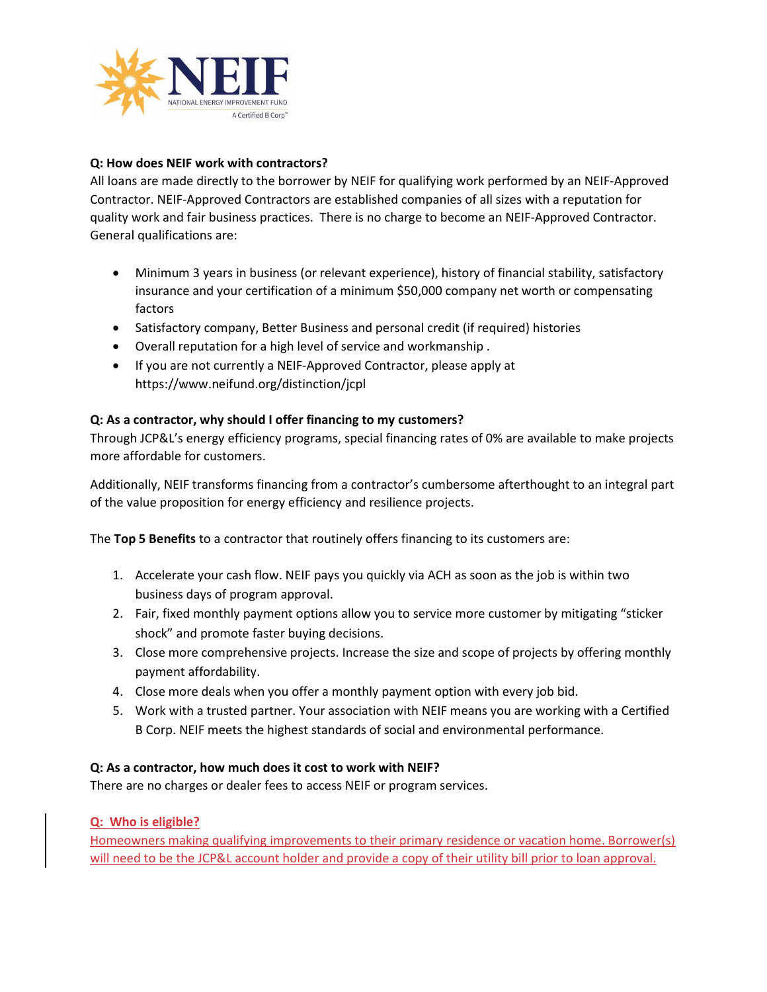

### Q: How does NEIF work with contractors?

All loans are made directly to the borrower by NEIF for qualifying work performed by an NEIF-Approved Contractor. NEIF-Approved Contractors are established companies of all sizes with a reputation for quality work and fair business practices. There is no charge to become an NEIF-Approved Contractor. General qualifications are:

- Minimum 3 years in business (or relevant experience), history of financial stability, satisfactory insurance and your certification of a minimum \$50,000 company net worth or compensating factors
- Satisfactory company, Better Business and personal credit (if required) histories
- Overall reputation for a high level of service and workmanship .
- If you are not currently a NEIF-Approved Contractor, please apply at https://www.neifund.org/distinction/jcpl

#### Q: As a contractor, why should I offer financing to my customers?

Through JCP&L's energy efficiency programs, special financing rates of 0% are available to make projects more affordable for customers.

Additionally, NEIF transforms financing from a contractor's cumbersome afterthought to an integral part of the value proposition for energy efficiency and resilience projects.

The Top 5 Benefits to a contractor that routinely offers financing to its customers are:

- 1. Accelerate your cash flow. NEIF pays you quickly via ACH as soon as the job is within two business days of program approval.
- 2. Fair, fixed monthly payment options allow you to service more customer by mitigating "sticker shock" and promote faster buying decisions.
- 3. Close more comprehensive projects. Increase the size and scope of projects by offering monthly payment affordability.
- 4. Close more deals when you offer a monthly payment option with every job bid.
- 5. Work with a trusted partner. Your association with NEIF means you are working with a Certified B Corp. NEIF meets the highest standards of social and environmental performance.

#### Q: As a contractor, how much does it cost to work with NEIF?

There are no charges or dealer fees to access NEIF or program services.

#### Q: Who is eligible?

Homeowners making qualifying improvements to their primary residence or vacation home. Borrower(s) will need to be the JCP&L account holder and provide a copy of their utility bill prior to loan approval.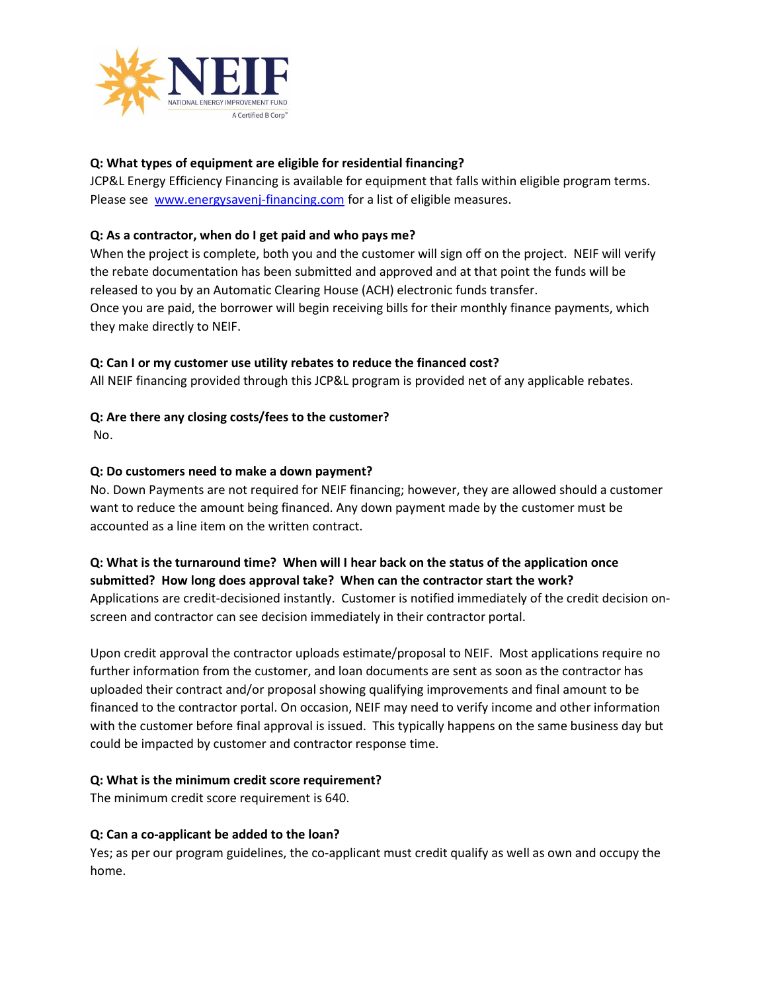

## Q: What types of equipment are eligible for residential financing?

JCP&L Energy Efficiency Financing is available for equipment that falls within eligible program terms. Please see www.energysavenj-financing.com for a list of eligible measures.

## Q: As a contractor, when do I get paid and who pays me?

When the project is complete, both you and the customer will sign off on the project. NEIF will verify the rebate documentation has been submitted and approved and at that point the funds will be released to you by an Automatic Clearing House (ACH) electronic funds transfer. Once you are paid, the borrower will begin receiving bills for their monthly finance payments, which they make directly to NEIF.

## Q: Can I or my customer use utility rebates to reduce the financed cost?

All NEIF financing provided through this JCP&L program is provided net of any applicable rebates.

## Q: Are there any closing costs/fees to the customer?

No.

## Q: Do customers need to make a down payment?

No. Down Payments are not required for NEIF financing; however, they are allowed should a customer want to reduce the amount being financed. Any down payment made by the customer must be accounted as a line item on the written contract.

### Q: What is the turnaround time? When will I hear back on the status of the application once submitted? How long does approval take? When can the contractor start the work?

Applications are credit-decisioned instantly. Customer is notified immediately of the credit decision onscreen and contractor can see decision immediately in their contractor portal.

Upon credit approval the contractor uploads estimate/proposal to NEIF. Most applications require no further information from the customer, and loan documents are sent as soon as the contractor has uploaded their contract and/or proposal showing qualifying improvements and final amount to be financed to the contractor portal. On occasion, NEIF may need to verify income and other information with the customer before final approval is issued. This typically happens on the same business day but could be impacted by customer and contractor response time.

## Q: What is the minimum credit score requirement?

The minimum credit score requirement is 640.

## Q: Can a co-applicant be added to the loan?

Yes; as per our program guidelines, the co-applicant must credit qualify as well as own and occupy the home.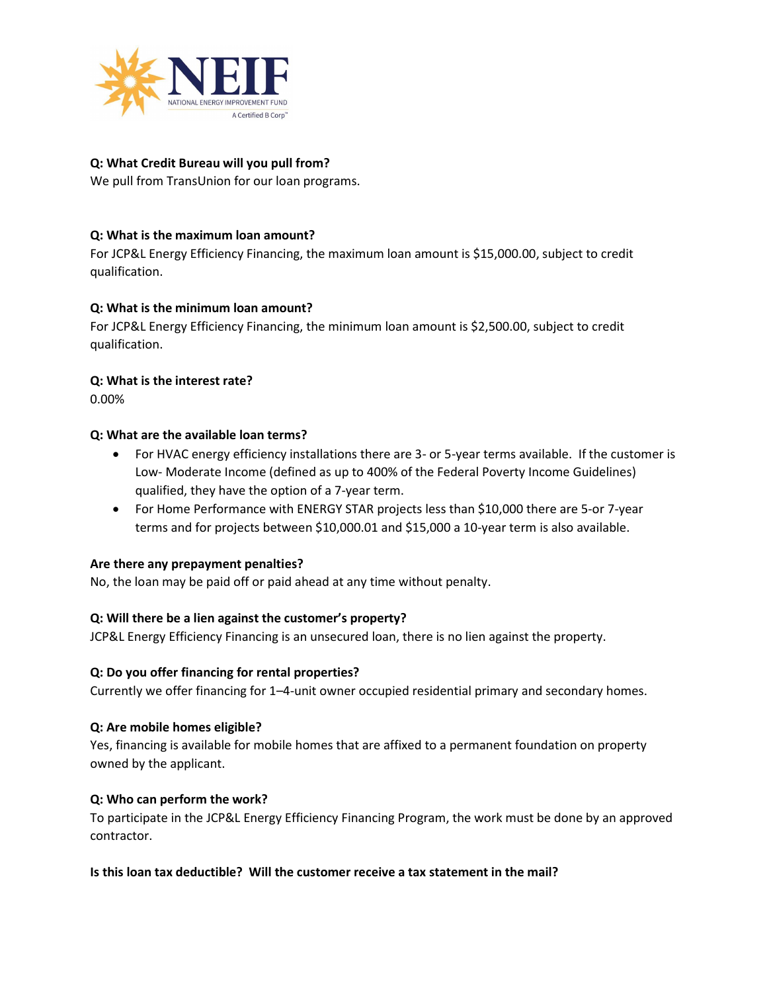

## Q: What Credit Bureau will you pull from?

We pull from TransUnion for our loan programs.

## Q: What is the maximum loan amount?

For JCP&L Energy Efficiency Financing, the maximum loan amount is \$15,000.00, subject to credit qualification.

## Q: What is the minimum loan amount?

For JCP&L Energy Efficiency Financing, the minimum loan amount is \$2,500.00, subject to credit qualification.

#### Q: What is the interest rate?

0.00%

#### Q: What are the available loan terms?

- For HVAC energy efficiency installations there are 3- or 5-year terms available. If the customer is Low- Moderate Income (defined as up to 400% of the Federal Poverty Income Guidelines) qualified, they have the option of a 7-year term.
- For Home Performance with ENERGY STAR projects less than \$10,000 there are 5-or 7-year terms and for projects between \$10,000.01 and \$15,000 a 10-year term is also available.

#### Are there any prepayment penalties?

No, the loan may be paid off or paid ahead at any time without penalty.

#### Q: Will there be a lien against the customer's property?

JCP&L Energy Efficiency Financing is an unsecured loan, there is no lien against the property.

#### Q: Do you offer financing for rental properties?

Currently we offer financing for 1–4-unit owner occupied residential primary and secondary homes.

#### Q: Are mobile homes eligible?

Yes, financing is available for mobile homes that are affixed to a permanent foundation on property owned by the applicant.

#### Q: Who can perform the work?

To participate in the JCP&L Energy Efficiency Financing Program, the work must be done by an approved contractor.

#### Is this loan tax deductible? Will the customer receive a tax statement in the mail?